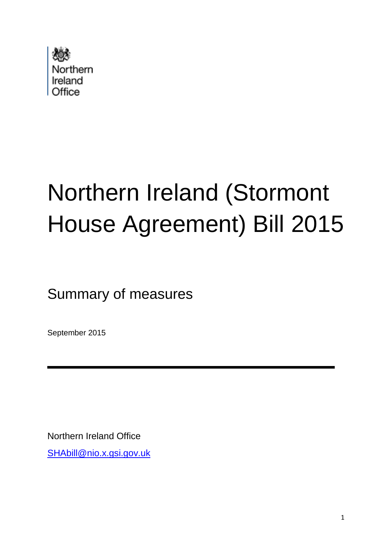

# Northern Ireland (Stormont House Agreement) Bill 2015

Summary of measures

September 2015

Northern Ireland Office

[SHAbill@nio.x.gsi.gov.uk](mailto:SHAbill@nio.x.gsi.gov.uk)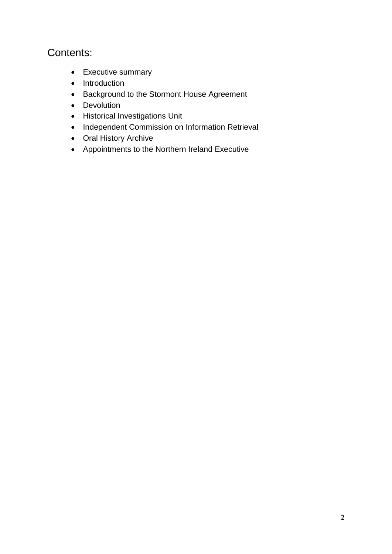### Contents:

- Executive summary
- Introduction
- Background to the Stormont House Agreement
- Devolution
- Historical Investigations Unit
- Independent Commission on Information Retrieval
- Oral History Archive
- Appointments to the Northern Ireland Executive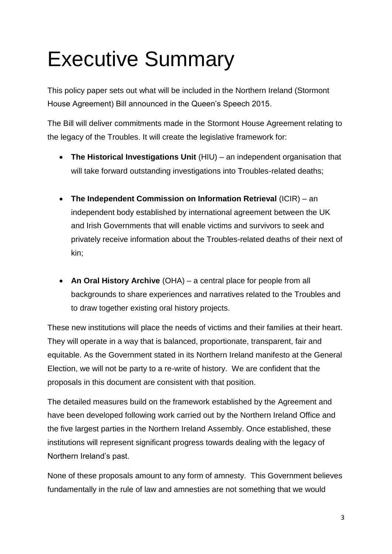### Executive Summary

This policy paper sets out what will be included in the Northern Ireland (Stormont House Agreement) Bill announced in the Queen's Speech 2015.

The Bill will deliver commitments made in the Stormont House Agreement relating to the legacy of the Troubles. It will create the legislative framework for:

- **The Historical Investigations Unit** (HIU) an independent organisation that will take forward outstanding investigations into Troubles-related deaths;
- **The Independent Commission on Information Retrieval** (ICIR) an independent body established by international agreement between the UK and Irish Governments that will enable victims and survivors to seek and privately receive information about the Troubles-related deaths of their next of kin;
- **An Oral History Archive** (OHA) a central place for people from all backgrounds to share experiences and narratives related to the Troubles and to draw together existing oral history projects.

These new institutions will place the needs of victims and their families at their heart. They will operate in a way that is balanced, proportionate, transparent, fair and equitable. As the Government stated in its Northern Ireland manifesto at the General Election, we will not be party to a re-write of history. We are confident that the proposals in this document are consistent with that position.

The detailed measures build on the framework established by the Agreement and have been developed following work carried out by the Northern Ireland Office and the five largest parties in the Northern Ireland Assembly. Once established, these institutions will represent significant progress towards dealing with the legacy of Northern Ireland's past.

None of these proposals amount to any form of amnesty. This Government believes fundamentally in the rule of law and amnesties are not something that we would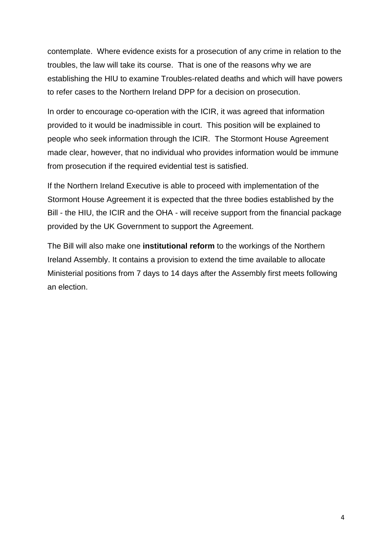contemplate. Where evidence exists for a prosecution of any crime in relation to the troubles, the law will take its course. That is one of the reasons why we are establishing the HIU to examine Troubles-related deaths and which will have powers to refer cases to the Northern Ireland DPP for a decision on prosecution.

In order to encourage co-operation with the ICIR, it was agreed that information provided to it would be inadmissible in court. This position will be explained to people who seek information through the ICIR. The Stormont House Agreement made clear, however, that no individual who provides information would be immune from prosecution if the required evidential test is satisfied.

If the Northern Ireland Executive is able to proceed with implementation of the Stormont House Agreement it is expected that the three bodies established by the Bill - the HIU, the ICIR and the OHA - will receive support from the financial package provided by the UK Government to support the Agreement.

The Bill will also make one **institutional reform** to the workings of the Northern Ireland Assembly. It contains a provision to extend the time available to allocate Ministerial positions from 7 days to 14 days after the Assembly first meets following an election.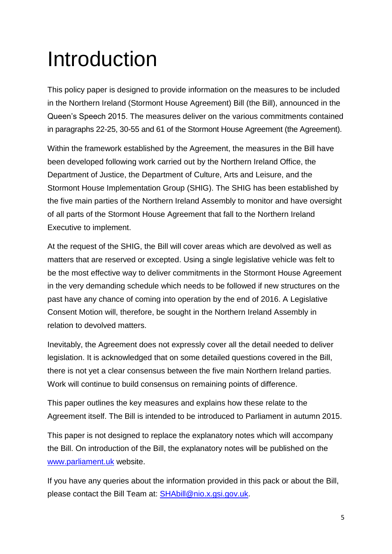### Introduction

This policy paper is designed to provide information on the measures to be included in the Northern Ireland (Stormont House Agreement) Bill (the Bill), announced in the Queen's Speech 2015. The measures deliver on the various commitments contained in paragraphs 22-25, 30-55 and 61 of the Stormont House Agreement (the Agreement).

Within the framework established by the Agreement, the measures in the Bill have been developed following work carried out by the Northern Ireland Office, the Department of Justice, the Department of Culture, Arts and Leisure, and the Stormont House Implementation Group (SHIG). The SHIG has been established by the five main parties of the Northern Ireland Assembly to monitor and have oversight of all parts of the Stormont House Agreement that fall to the Northern Ireland Executive to implement.

At the request of the SHIG, the Bill will cover areas which are devolved as well as matters that are reserved or excepted. Using a single legislative vehicle was felt to be the most effective way to deliver commitments in the Stormont House Agreement in the very demanding schedule which needs to be followed if new structures on the past have any chance of coming into operation by the end of 2016. A Legislative Consent Motion will, therefore, be sought in the Northern Ireland Assembly in relation to devolved matters.

Inevitably, the Agreement does not expressly cover all the detail needed to deliver legislation. It is acknowledged that on some detailed questions covered in the Bill, there is not yet a clear consensus between the five main Northern Ireland parties. Work will continue to build consensus on remaining points of difference.

This paper outlines the key measures and explains how these relate to the Agreement itself. The Bill is intended to be introduced to Parliament in autumn 2015.

This paper is not designed to replace the explanatory notes which will accompany the Bill. On introduction of the Bill, the explanatory notes will be published on the [www.parliament.uk](http://www.parliament.uk/) website.

If you have any queries about the information provided in this pack or about the Bill, please contact the Bill Team at: [SHAbill@nio.x.gsi.gov.uk.](mailto:SHAbill@nio.x.gsi.gov.uk)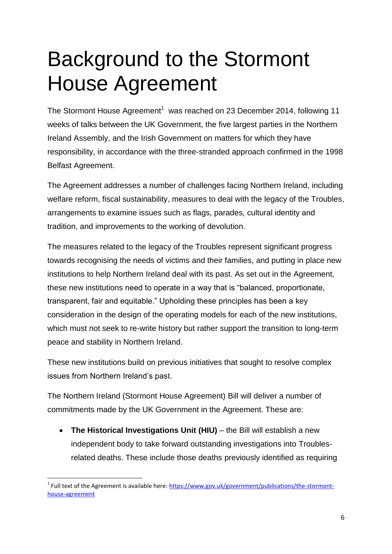### Background to the Stormont House Agreement

The Stormont House Agreement<sup>1</sup> was reached on 23 December 2014, following 11 weeks of talks between the UK Government, the five largest parties in the Northern Ireland Assembly, and the Irish Government on matters for which they have responsibility, in accordance with the three-stranded approach confirmed in the 1998 Belfast Agreement.

The Agreement addresses a number of challenges facing Northern Ireland, including welfare reform, fiscal sustainability, measures to deal with the legacy of the Troubles, arrangements to examine issues such as flags, parades, cultural identity and tradition, and improvements to the working of devolution.

The measures related to the legacy of the Troubles represent significant progress towards recognising the needs of victims and their families, and putting in place new institutions to help Northern Ireland deal with its past. As set out in the Agreement, these new institutions need to operate in a way that is "balanced, proportionate, transparent, fair and equitable." Upholding these principles has been a key consideration in the design of the operating models for each of the new institutions, which must not seek to re-write history but rather support the transition to long-term peace and stability in Northern Ireland.

These new institutions build on previous initiatives that sought to resolve complex issues from Northern Ireland's past.

The Northern Ireland (Stormont House Agreement) Bill will deliver a number of commitments made by the UK Government in the Agreement. These are:

 **The Historical Investigations Unit (HIU)** – the Bill will establish a new independent body to take forward outstanding investigations into Troublesrelated deaths. These include those deaths previously identified as requiring

 $\overline{\phantom{a}}$ <sup>1</sup> Full text of the Agreement is available here: [https://www.gov.uk/government/publications/the-stormont](https://www.gov.uk/government/publications/the-stormont-house-agreement)[house-agreement](https://www.gov.uk/government/publications/the-stormont-house-agreement)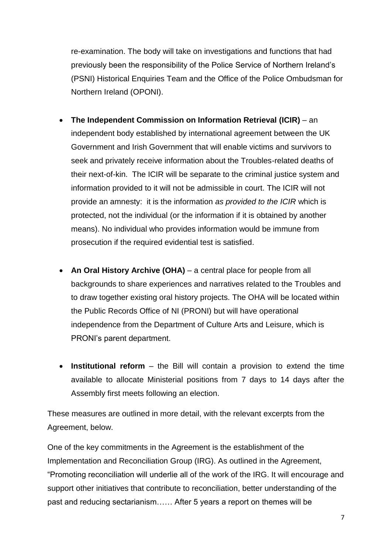re-examination. The body will take on investigations and functions that had previously been the responsibility of the Police Service of Northern Ireland's (PSNI) Historical Enquiries Team and the Office of the Police Ombudsman for Northern Ireland (OPONI).

- **The Independent Commission on Information Retrieval (ICIR)** an independent body established by international agreement between the UK Government and Irish Government that will enable victims and survivors to seek and privately receive information about the Troubles-related deaths of their next-of-kin. The ICIR will be separate to the criminal justice system and information provided to it will not be admissible in court. The ICIR will not provide an amnesty: it is the information *as provided to the ICIR* which is protected, not the individual (or the information if it is obtained by another means). No individual who provides information would be immune from prosecution if the required evidential test is satisfied.
- **An Oral History Archive (OHA)** a central place for people from all backgrounds to share experiences and narratives related to the Troubles and to draw together existing oral history projects. The OHA will be located within the Public Records Office of NI (PRONI) but will have operational independence from the Department of Culture Arts and Leisure, which is PRONI's parent department.
- **Institutional reform** the Bill will contain a provision to extend the time available to allocate Ministerial positions from 7 days to 14 days after the Assembly first meets following an election.

These measures are outlined in more detail, with the relevant excerpts from the Agreement, below.

One of the key commitments in the Agreement is the establishment of the Implementation and Reconciliation Group (IRG). As outlined in the Agreement, "Promoting reconciliation will underlie all of the work of the IRG. It will encourage and support other initiatives that contribute to reconciliation, better understanding of the past and reducing sectarianism…… After 5 years a report on themes will be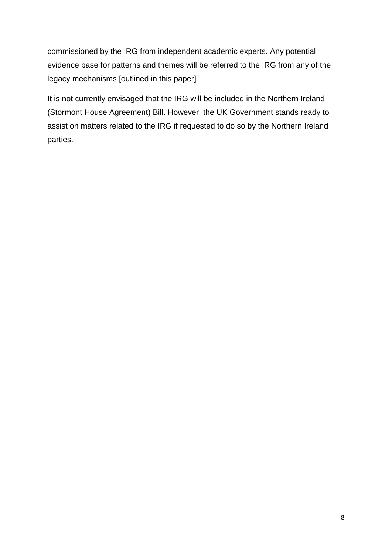commissioned by the IRG from independent academic experts. Any potential evidence base for patterns and themes will be referred to the IRG from any of the legacy mechanisms [outlined in this paper]".

It is not currently envisaged that the IRG will be included in the Northern Ireland (Stormont House Agreement) Bill. However, the UK Government stands ready to assist on matters related to the IRG if requested to do so by the Northern Ireland parties.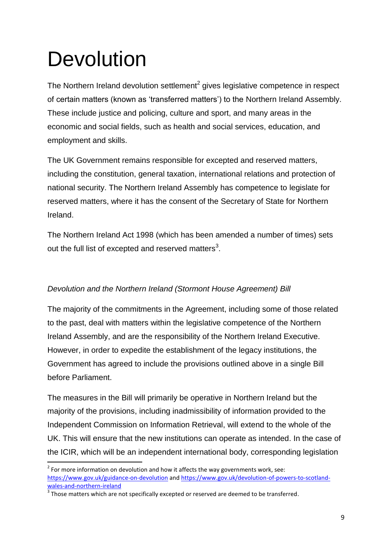### **Devolution**

1

The Northern Ireland devolution settlement<sup>2</sup> gives legislative competence in respect of certain matters (known as 'transferred matters') to the Northern Ireland Assembly. These include justice and policing, culture and sport, and many areas in the economic and social fields, such as health and social services, education, and employment and skills.

The UK Government remains responsible for excepted and reserved matters, including the constitution, general taxation, international relations and protection of national security. The Northern Ireland Assembly has competence to legislate for reserved matters, where it has the consent of the Secretary of State for Northern Ireland.

The Northern Ireland Act 1998 (which has been amended a number of times) sets out the full list of excepted and reserved matters<sup>3</sup>.

#### *Devolution and the Northern Ireland (Stormont House Agreement) Bill*

The majority of the commitments in the Agreement, including some of those related to the past, deal with matters within the legislative competence of the Northern Ireland Assembly, and are the responsibility of the Northern Ireland Executive. However, in order to expedite the establishment of the legacy institutions, the Government has agreed to include the provisions outlined above in a single Bill before Parliament.

The measures in the Bill will primarily be operative in Northern Ireland but the majority of the provisions, including inadmissibility of information provided to the Independent Commission on Information Retrieval, will extend to the whole of the UK. This will ensure that the new institutions can operate as intended. In the case of the ICIR, which will be an independent international body, corresponding legislation

 $2$  For more information on devolution and how it affects the way governments work, see: <https://www.gov.uk/guidance-on-devolution> and [https://www.gov.uk/devolution-of-powers-to-scotland](https://www.gov.uk/devolution-of-powers-to-scotland-wales-and-northern-ireland)[wales-and-northern-ireland](https://www.gov.uk/devolution-of-powers-to-scotland-wales-and-northern-ireland)

 $3$  Those matters which are not specifically excepted or reserved are deemed to be transferred.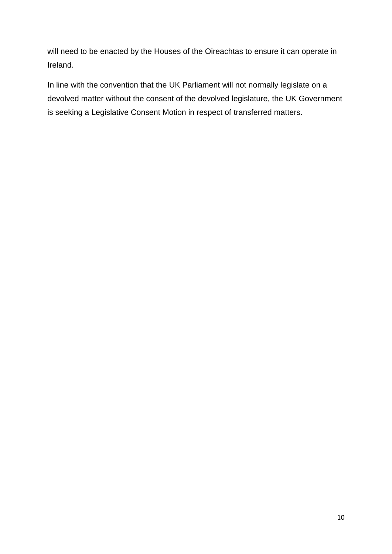will need to be enacted by the Houses of the Oireachtas to ensure it can operate in Ireland.

In line with the convention that the UK Parliament will not normally legislate on a devolved matter without the consent of the devolved legislature, the UK Government is seeking a Legislative Consent Motion in respect of transferred matters.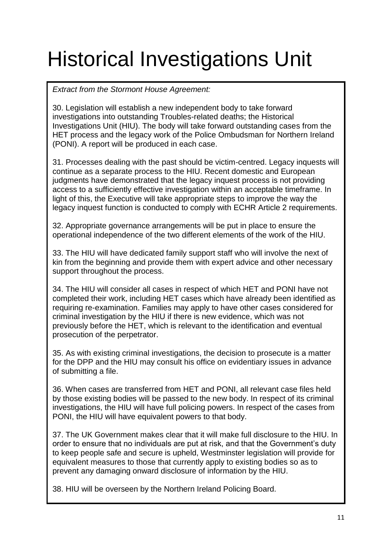## Historical Investigations Unit

*Extract from the Stormont House Agreement:*

30. Legislation will establish a new independent body to take forward investigations into outstanding Troubles-related deaths; the Historical Investigations Unit (HIU). The body will take forward outstanding cases from the HET process and the legacy work of the Police Ombudsman for Northern Ireland (PONI). A report will be produced in each case.

31. Processes dealing with the past should be victim-centred. Legacy inquests will continue as a separate process to the HIU. Recent domestic and European judgments have demonstrated that the legacy inquest process is not providing access to a sufficiently effective investigation within an acceptable timeframe. In light of this, the Executive will take appropriate steps to improve the way the legacy inquest function is conducted to comply with ECHR Article 2 requirements.

32. Appropriate governance arrangements will be put in place to ensure the operational independence of the two different elements of the work of the HIU.

33. The HIU will have dedicated family support staff who will involve the next of kin from the beginning and provide them with expert advice and other necessary support throughout the process.

34. The HIU will consider all cases in respect of which HET and PONI have not completed their work, including HET cases which have already been identified as requiring re-examination. Families may apply to have other cases considered for criminal investigation by the HIU if there is new evidence, which was not previously before the HET, which is relevant to the identification and eventual prosecution of the perpetrator.

35. As with existing criminal investigations, the decision to prosecute is a matter for the DPP and the HIU may consult his office on evidentiary issues in advance of submitting a file.

36. When cases are transferred from HET and PONI, all relevant case files held by those existing bodies will be passed to the new body. In respect of its criminal investigations, the HIU will have full policing powers. In respect of the cases from PONI, the HIU will have equivalent powers to that body.

37. The UK Government makes clear that it will make full disclosure to the HIU. In order to ensure that no individuals are put at risk, and that the Government's duty to keep people safe and secure is upheld, Westminster legislation will provide for equivalent measures to those that currently apply to existing bodies so as to prevent any damaging onward disclosure of information by the HIU.

38. HIU will be overseen by the Northern Ireland Policing Board.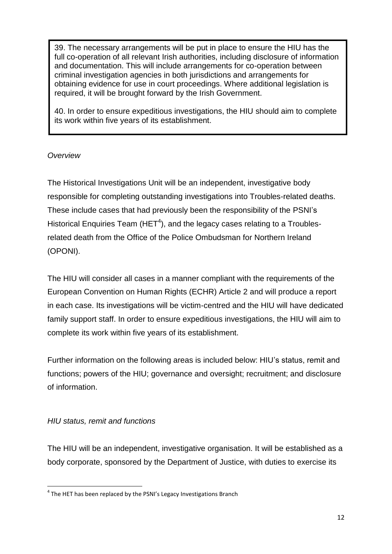39. The necessary arrangements will be put in place to ensure the HIU has the full co-operation of all relevant Irish authorities, including disclosure of information and documentation. This will include arrangements for co-operation between criminal investigation agencies in both jurisdictions and arrangements for obtaining evidence for use in court proceedings. Where additional legislation is required, it will be brought forward by the Irish Government.

40. In order to ensure expeditious investigations, the HIU should aim to complete its work within five years of its establishment.

#### *Overview*

The Historical Investigations Unit will be an independent, investigative body responsible for completing outstanding investigations into Troubles-related deaths. These include cases that had previously been the responsibility of the PSNI's Historical Enquiries Team (HET<sup>4</sup>), and the legacy cases relating to a Troublesrelated death from the Office of the Police Ombudsman for Northern Ireland (OPONI).

The HIU will consider all cases in a manner compliant with the requirements of the European Convention on Human Rights (ECHR) Article 2 and will produce a report in each case. Its investigations will be victim-centred and the HIU will have dedicated family support staff. In order to ensure expeditious investigations, the HIU will aim to complete its work within five years of its establishment.

Further information on the following areas is included below: HIU's status, remit and functions; powers of the HIU; governance and oversight; recruitment; and disclosure of information.

#### *HIU status, remit and functions*

**.** 

The HIU will be an independent, investigative organisation. It will be established as a body corporate, sponsored by the Department of Justice, with duties to exercise its

 $<sup>4</sup>$  The HET has been replaced by the PSNI's Legacy Investigations Branch</sup>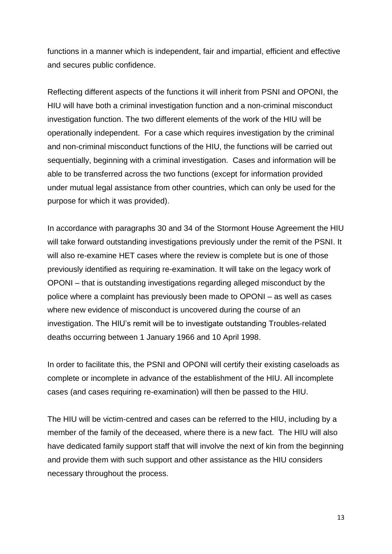functions in a manner which is independent, fair and impartial, efficient and effective and secures public confidence.

Reflecting different aspects of the functions it will inherit from PSNI and OPONI, the HIU will have both a criminal investigation function and a non-criminal misconduct investigation function. The two different elements of the work of the HIU will be operationally independent. For a case which requires investigation by the criminal and non-criminal misconduct functions of the HIU, the functions will be carried out sequentially, beginning with a criminal investigation. Cases and information will be able to be transferred across the two functions (except for information provided under mutual legal assistance from other countries, which can only be used for the purpose for which it was provided).

In accordance with paragraphs 30 and 34 of the Stormont House Agreement the HIU will take forward outstanding investigations previously under the remit of the PSNI. It will also re-examine HET cases where the review is complete but is one of those previously identified as requiring re-examination. It will take on the legacy work of OPONI – that is outstanding investigations regarding alleged misconduct by the police where a complaint has previously been made to OPONI – as well as cases where new evidence of misconduct is uncovered during the course of an investigation. The HIU's remit will be to investigate outstanding Troubles-related deaths occurring between 1 January 1966 and 10 April 1998.

In order to facilitate this, the PSNI and OPONI will certify their existing caseloads as complete or incomplete in advance of the establishment of the HIU. All incomplete cases (and cases requiring re-examination) will then be passed to the HIU.

The HIU will be victim-centred and cases can be referred to the HIU, including by a member of the family of the deceased, where there is a new fact. The HIU will also have dedicated family support staff that will involve the next of kin from the beginning and provide them with such support and other assistance as the HIU considers necessary throughout the process.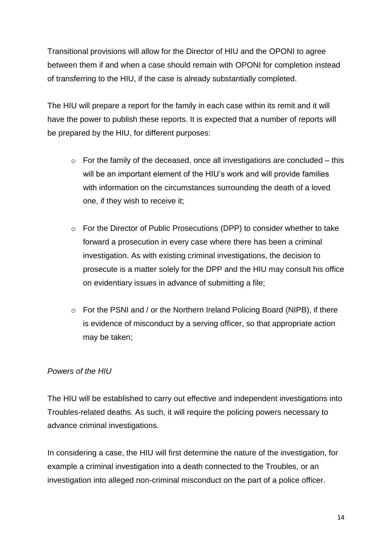Transitional provisions will allow for the Director of HIU and the OPONI to agree between them if and when a case should remain with OPONI for completion instead of transferring to the HIU, if the case is already substantially completed.

The HIU will prepare a report for the family in each case within its remit and it will have the power to publish these reports. It is expected that a number of reports will be prepared by the HIU, for different purposes:

- $\circ$  For the family of the deceased, once all investigations are concluded this will be an important element of the HIU's work and will provide families with information on the circumstances surrounding the death of a loved one, if they wish to receive it;
- o For the Director of Public Prosecutions (DPP) to consider whether to take forward a prosecution in every case where there has been a criminal investigation. As with existing criminal investigations, the decision to prosecute is a matter solely for the DPP and the HIU may consult his office on evidentiary issues in advance of submitting a file;
- o For the PSNI and / or the Northern Ireland Policing Board (NIPB), if there is evidence of misconduct by a serving officer, so that appropriate action may be taken;

#### *Powers of the HIU*

The HIU will be established to carry out effective and independent investigations into Troubles-related deaths. As such, it will require the policing powers necessary to advance criminal investigations.

In considering a case, the HIU will first determine the nature of the investigation, for example a criminal investigation into a death connected to the Troubles, or an investigation into alleged non-criminal misconduct on the part of a police officer.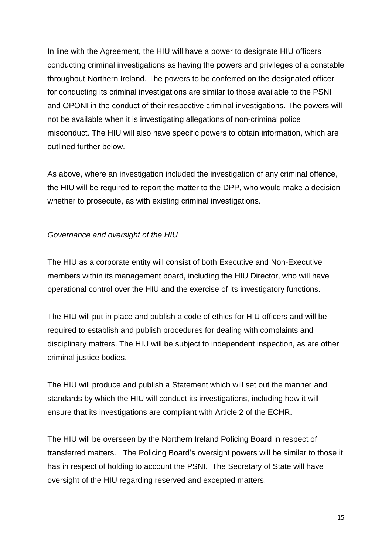In line with the Agreement, the HIU will have a power to designate HIU officers conducting criminal investigations as having the powers and privileges of a constable throughout Northern Ireland. The powers to be conferred on the designated officer for conducting its criminal investigations are similar to those available to the PSNI and OPONI in the conduct of their respective criminal investigations. The powers will not be available when it is investigating allegations of non-criminal police misconduct. The HIU will also have specific powers to obtain information, which are outlined further below.

As above, where an investigation included the investigation of any criminal offence, the HIU will be required to report the matter to the DPP, who would make a decision whether to prosecute, as with existing criminal investigations.

#### *Governance and oversight of the HIU*

The HIU as a corporate entity will consist of both Executive and Non-Executive members within its management board, including the HIU Director, who will have operational control over the HIU and the exercise of its investigatory functions.

The HIU will put in place and publish a code of ethics for HIU officers and will be required to establish and publish procedures for dealing with complaints and disciplinary matters. The HIU will be subject to independent inspection, as are other criminal justice bodies.

The HIU will produce and publish a Statement which will set out the manner and standards by which the HIU will conduct its investigations, including how it will ensure that its investigations are compliant with Article 2 of the ECHR.

The HIU will be overseen by the Northern Ireland Policing Board in respect of transferred matters. The Policing Board's oversight powers will be similar to those it has in respect of holding to account the PSNI. The Secretary of State will have oversight of the HIU regarding reserved and excepted matters.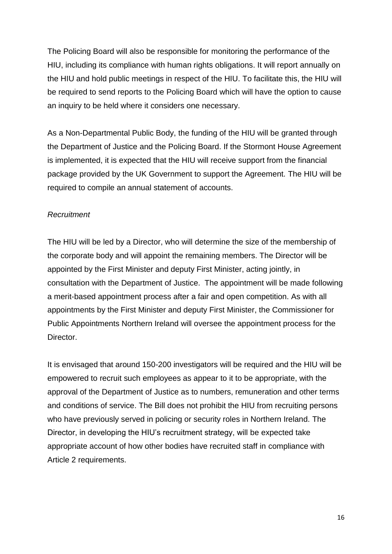The Policing Board will also be responsible for monitoring the performance of the HIU, including its compliance with human rights obligations. It will report annually on the HIU and hold public meetings in respect of the HIU. To facilitate this, the HIU will be required to send reports to the Policing Board which will have the option to cause an inquiry to be held where it considers one necessary.

As a Non-Departmental Public Body, the funding of the HIU will be granted through the Department of Justice and the Policing Board. If the Stormont House Agreement is implemented, it is expected that the HIU will receive support from the financial package provided by the UK Government to support the Agreement. The HIU will be required to compile an annual statement of accounts.

#### *Recruitment*

The HIU will be led by a Director, who will determine the size of the membership of the corporate body and will appoint the remaining members. The Director will be appointed by the First Minister and deputy First Minister, acting jointly, in consultation with the Department of Justice. The appointment will be made following a merit-based appointment process after a fair and open competition. As with all appointments by the First Minister and deputy First Minister, the Commissioner for Public Appointments Northern Ireland will oversee the appointment process for the Director.

It is envisaged that around 150-200 investigators will be required and the HIU will be empowered to recruit such employees as appear to it to be appropriate, with the approval of the Department of Justice as to numbers, remuneration and other terms and conditions of service. The Bill does not prohibit the HIU from recruiting persons who have previously served in policing or security roles in Northern Ireland. The Director, in developing the HIU's recruitment strategy, will be expected take appropriate account of how other bodies have recruited staff in compliance with Article 2 requirements.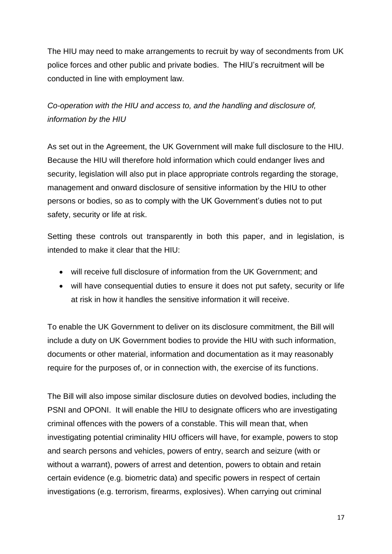The HIU may need to make arrangements to recruit by way of secondments from UK police forces and other public and private bodies. The HIU's recruitment will be conducted in line with employment law.

*Co-operation with the HIU and access to, and the handling and disclosure of, information by the HIU*

As set out in the Agreement, the UK Government will make full disclosure to the HIU. Because the HIU will therefore hold information which could endanger lives and security, legislation will also put in place appropriate controls regarding the storage, management and onward disclosure of sensitive information by the HIU to other persons or bodies, so as to comply with the UK Government's duties not to put safety, security or life at risk.

Setting these controls out transparently in both this paper, and in legislation, is intended to make it clear that the HIU:

- will receive full disclosure of information from the UK Government; and
- will have consequential duties to ensure it does not put safety, security or life at risk in how it handles the sensitive information it will receive.

To enable the UK Government to deliver on its disclosure commitment, the Bill will include a duty on UK Government bodies to provide the HIU with such information, documents or other material, information and documentation as it may reasonably require for the purposes of, or in connection with, the exercise of its functions.

The Bill will also impose similar disclosure duties on devolved bodies, including the PSNI and OPONI. It will enable the HIU to designate officers who are investigating criminal offences with the powers of a constable. This will mean that, when investigating potential criminality HIU officers will have, for example, powers to stop and search persons and vehicles, powers of entry, search and seizure (with or without a warrant), powers of arrest and detention, powers to obtain and retain certain evidence (e.g. biometric data) and specific powers in respect of certain investigations (e.g. terrorism, firearms, explosives). When carrying out criminal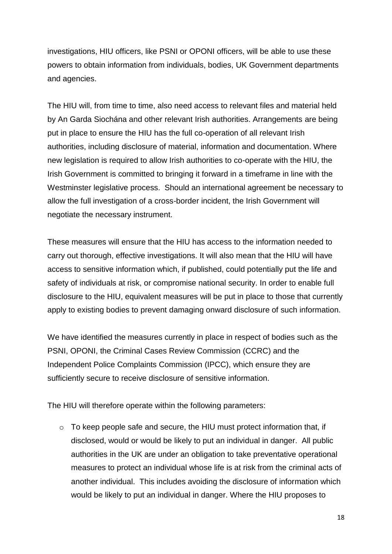investigations, HIU officers, like PSNI or OPONI officers, will be able to use these powers to obtain information from individuals, bodies, UK Government departments and agencies.

The HIU will, from time to time, also need access to relevant files and material held by An Garda Siochána and other relevant Irish authorities. Arrangements are being put in place to ensure the HIU has the full co-operation of all relevant Irish authorities, including disclosure of material, information and documentation. Where new legislation is required to allow Irish authorities to co-operate with the HIU, the Irish Government is committed to bringing it forward in a timeframe in line with the Westminster legislative process. Should an international agreement be necessary to allow the full investigation of a cross-border incident, the Irish Government will negotiate the necessary instrument.

These measures will ensure that the HIU has access to the information needed to carry out thorough, effective investigations. It will also mean that the HIU will have access to sensitive information which, if published, could potentially put the life and safety of individuals at risk, or compromise national security. In order to enable full disclosure to the HIU, equivalent measures will be put in place to those that currently apply to existing bodies to prevent damaging onward disclosure of such information.

We have identified the measures currently in place in respect of bodies such as the PSNI, OPONI, the Criminal Cases Review Commission (CCRC) and the Independent Police Complaints Commission (IPCC), which ensure they are sufficiently secure to receive disclosure of sensitive information.

The HIU will therefore operate within the following parameters:

o To keep people safe and secure, the HIU must protect information that, if disclosed, would or would be likely to put an individual in danger. All public authorities in the UK are under an obligation to take preventative operational measures to protect an individual whose life is at risk from the criminal acts of another individual. This includes avoiding the disclosure of information which would be likely to put an individual in danger. Where the HIU proposes to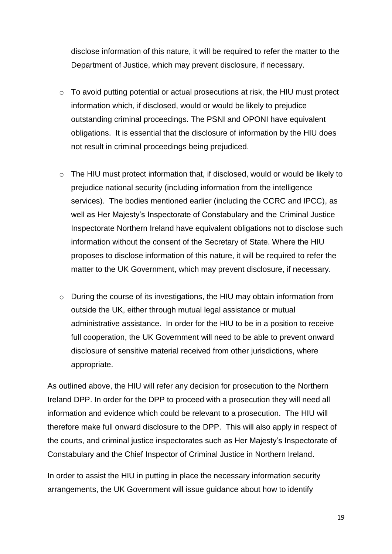disclose information of this nature, it will be required to refer the matter to the Department of Justice, which may prevent disclosure, if necessary.

- o To avoid putting potential or actual prosecutions at risk, the HIU must protect information which, if disclosed, would or would be likely to prejudice outstanding criminal proceedings. The PSNI and OPONI have equivalent obligations. It is essential that the disclosure of information by the HIU does not result in criminal proceedings being prejudiced.
- o The HIU must protect information that, if disclosed, would or would be likely to prejudice national security (including information from the intelligence services). The bodies mentioned earlier (including the CCRC and IPCC), as well as Her Majesty's Inspectorate of Constabulary and the Criminal Justice Inspectorate Northern Ireland have equivalent obligations not to disclose such information without the consent of the Secretary of State. Where the HIU proposes to disclose information of this nature, it will be required to refer the matter to the UK Government, which may prevent disclosure, if necessary.
- o During the course of its investigations, the HIU may obtain information from outside the UK, either through mutual legal assistance or mutual administrative assistance. In order for the HIU to be in a position to receive full cooperation, the UK Government will need to be able to prevent onward disclosure of sensitive material received from other jurisdictions, where appropriate.

As outlined above, the HIU will refer any decision for prosecution to the Northern Ireland DPP. In order for the DPP to proceed with a prosecution they will need all information and evidence which could be relevant to a prosecution. The HIU will therefore make full onward disclosure to the DPP. This will also apply in respect of the courts, and criminal justice inspectorates such as Her Majesty's Inspectorate of Constabulary and the Chief Inspector of Criminal Justice in Northern Ireland.

In order to assist the HIU in putting in place the necessary information security arrangements, the UK Government will issue guidance about how to identify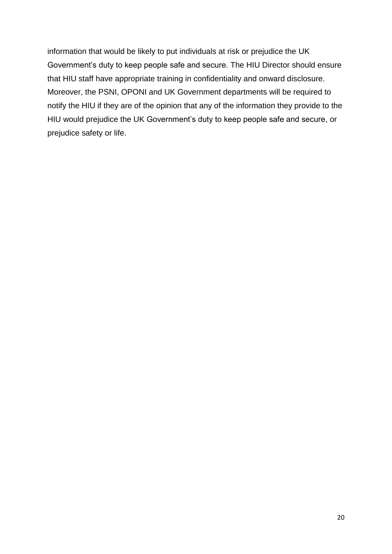information that would be likely to put individuals at risk or prejudice the UK Government's duty to keep people safe and secure. The HIU Director should ensure that HIU staff have appropriate training in confidentiality and onward disclosure. Moreover, the PSNI, OPONI and UK Government departments will be required to notify the HIU if they are of the opinion that any of the information they provide to the HIU would prejudice the UK Government's duty to keep people safe and secure, or prejudice safety or life.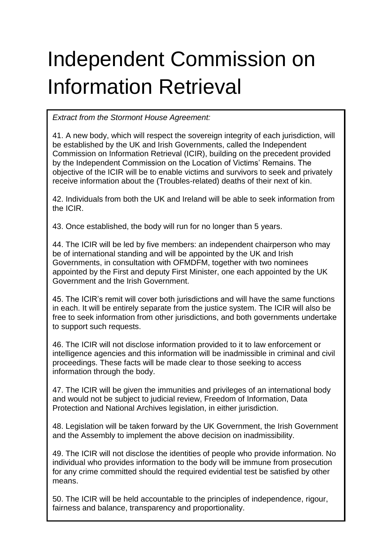## Independent Commission on Information Retrieval

*Extract from the Stormont House Agreement:*

41. A new body, which will respect the sovereign integrity of each jurisdiction, will be established by the UK and Irish Governments, called the Independent Commission on Information Retrieval (ICIR), building on the precedent provided by the Independent Commission on the Location of Victims' Remains. The objective of the ICIR will be to enable victims and survivors to seek and privately receive information about the (Troubles-related) deaths of their next of kin.

42. Individuals from both the UK and Ireland will be able to seek information from the ICIR.

43. Once established, the body will run for no longer than 5 years.

44. The ICIR will be led by five members: an independent chairperson who may be of international standing and will be appointed by the UK and Irish Governments, in consultation with OFMDFM, together with two nominees appointed by the First and deputy First Minister, one each appointed by the UK Government and the Irish Government.

45. The ICIR's remit will cover both jurisdictions and will have the same functions in each. It will be entirely separate from the justice system. The ICIR will also be free to seek information from other jurisdictions, and both governments undertake to support such requests.

46. The ICIR will not disclose information provided to it to law enforcement or intelligence agencies and this information will be inadmissible in criminal and civil proceedings. These facts will be made clear to those seeking to access information through the body.

47. The ICIR will be given the immunities and privileges of an international body and would not be subject to judicial review, Freedom of Information, Data Protection and National Archives legislation, in either jurisdiction.

48. Legislation will be taken forward by the UK Government, the Irish Government and the Assembly to implement the above decision on inadmissibility.

49. The ICIR will not disclose the identities of people who provide information. No individual who provides information to the body will be immune from prosecution for any crime committed should the required evidential test be satisfied by other means.

50. The ICIR will be held accountable to the principles of independence, rigour, fairness and balance, transparency and proportionality.

21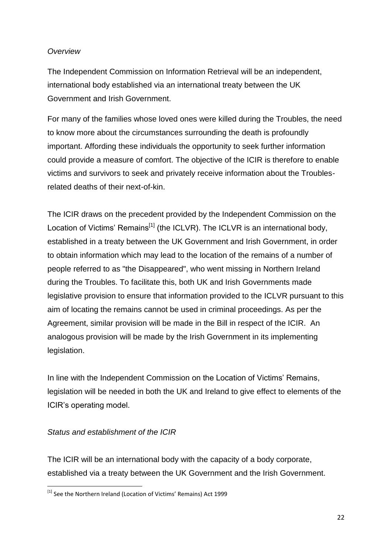#### *Overview*

The Independent Commission on Information Retrieval will be an independent, international body established via an international treaty between the UK Government and Irish Government.

For many of the families whose loved ones were killed during the Troubles, the need to know more about the circumstances surrounding the death is profoundly important. Affording these individuals the opportunity to seek further information could provide a measure of comfort. The objective of the ICIR is therefore to enable victims and survivors to seek and privately receive information about the Troublesrelated deaths of their next-of-kin.

The ICIR draws on the precedent provided by the Independent Commission on the Location of Victims' Remains<sup>[1]</sup> (the ICLVR). The ICLVR is an international body, established in a treaty between the UK Government and Irish Government, in order to obtain information which may lead to the location of the remains of a number of people referred to as "the Disappeared", who went missing in Northern Ireland during the Troubles. To facilitate this, both UK and Irish Governments made legislative provision to ensure that information provided to the ICLVR pursuant to this aim of locating the remains cannot be used in criminal proceedings. As per the Agreement, similar provision will be made in the Bill in respect of the ICIR. An analogous provision will be made by the Irish Government in its implementing legislation.

In line with the Independent Commission on the Location of Victims' Remains, legislation will be needed in both the UK and Ireland to give effect to elements of the ICIR's operating model.

#### *Status and establishment of the ICIR*

**.** 

The ICIR will be an international body with the capacity of a body corporate, established via a treaty between the UK Government and the Irish Government.

<sup>&</sup>lt;sup>[1]</sup> See the Northern Ireland (Location of Victims' Remains) Act 1999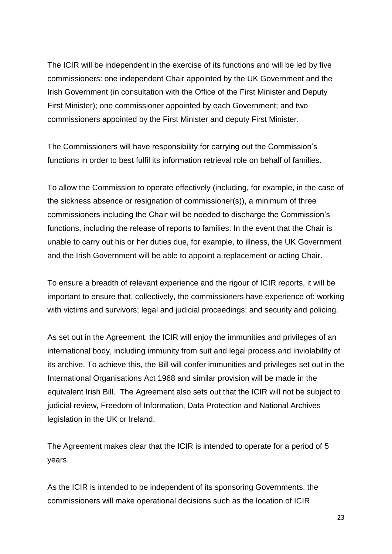The ICIR will be independent in the exercise of its functions and will be led by five commissioners: one independent Chair appointed by the UK Government and the Irish Government (in consultation with the Office of the First Minister and Deputy First Minister); one commissioner appointed by each Government; and two commissioners appointed by the First Minister and deputy First Minister.

The Commissioners will have responsibility for carrying out the Commission's functions in order to best fulfil its information retrieval role on behalf of families.

To allow the Commission to operate effectively (including, for example, in the case of the sickness absence or resignation of commissioner(s)), a minimum of three commissioners including the Chair will be needed to discharge the Commission's functions, including the release of reports to families. In the event that the Chair is unable to carry out his or her duties due, for example, to illness, the UK Government and the Irish Government will be able to appoint a replacement or acting Chair.

To ensure a breadth of relevant experience and the rigour of ICIR reports, it will be important to ensure that, collectively, the commissioners have experience of: working with victims and survivors; legal and judicial proceedings; and security and policing.

As set out in the Agreement, the ICIR will enjoy the immunities and privileges of an international body, including immunity from suit and legal process and inviolability of its archive. To achieve this, the Bill will confer immunities and privileges set out in the International Organisations Act 1968 and similar provision will be made in the equivalent Irish Bill. The Agreement also sets out that the ICIR will not be subject to judicial review, Freedom of Information, Data Protection and National Archives legislation in the UK or Ireland.

The Agreement makes clear that the ICIR is intended to operate for a period of 5 years.

As the ICIR is intended to be independent of its sponsoring Governments, the commissioners will make operational decisions such as the location of ICIR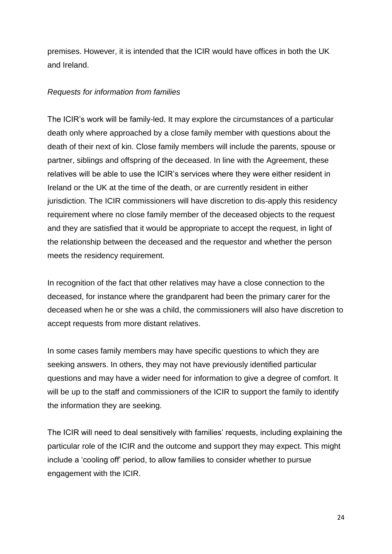premises. However, it is intended that the ICIR would have offices in both the UK and Ireland.

#### *Requests for information from families*

The ICIR's work will be family-led. It may explore the circumstances of a particular death only where approached by a close family member with questions about the death of their next of kin. Close family members will include the parents, spouse or partner, siblings and offspring of the deceased. In line with the Agreement, these relatives will be able to use the ICIR's services where they were either resident in Ireland or the UK at the time of the death, or are currently resident in either jurisdiction. The ICIR commissioners will have discretion to dis-apply this residency requirement where no close family member of the deceased objects to the request and they are satisfied that it would be appropriate to accept the request, in light of the relationship between the deceased and the requestor and whether the person meets the residency requirement.

In recognition of the fact that other relatives may have a close connection to the deceased, for instance where the grandparent had been the primary carer for the deceased when he or she was a child, the commissioners will also have discretion to accept requests from more distant relatives.

In some cases family members may have specific questions to which they are seeking answers. In others, they may not have previously identified particular questions and may have a wider need for information to give a degree of comfort. It will be up to the staff and commissioners of the ICIR to support the family to identify the information they are seeking.

The ICIR will need to deal sensitively with families' requests, including explaining the particular role of the ICIR and the outcome and support they may expect. This might include a 'cooling off' period, to allow families to consider whether to pursue engagement with the ICIR.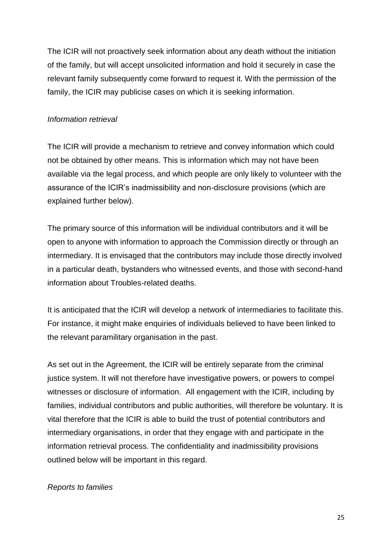The ICIR will not proactively seek information about any death without the initiation of the family, but will accept unsolicited information and hold it securely in case the relevant family subsequently come forward to request it. With the permission of the family, the ICIR may publicise cases on which it is seeking information.

#### *Information retrieval*

The ICIR will provide a mechanism to retrieve and convey information which could not be obtained by other means. This is information which may not have been available via the legal process, and which people are only likely to volunteer with the assurance of the ICIR's inadmissibility and non-disclosure provisions (which are explained further below).

The primary source of this information will be individual contributors and it will be open to anyone with information to approach the Commission directly or through an intermediary. It is envisaged that the contributors may include those directly involved in a particular death, bystanders who witnessed events, and those with second-hand information about Troubles-related deaths.

It is anticipated that the ICIR will develop a network of intermediaries to facilitate this. For instance, it might make enquiries of individuals believed to have been linked to the relevant paramilitary organisation in the past.

As set out in the Agreement, the ICIR will be entirely separate from the criminal justice system. It will not therefore have investigative powers, or powers to compel witnesses or disclosure of information. All engagement with the ICIR, including by families, individual contributors and public authorities, will therefore be voluntary. It is vital therefore that the ICIR is able to build the trust of potential contributors and intermediary organisations, in order that they engage with and participate in the information retrieval process. The confidentiality and inadmissibility provisions outlined below will be important in this regard.

#### *Reports to families*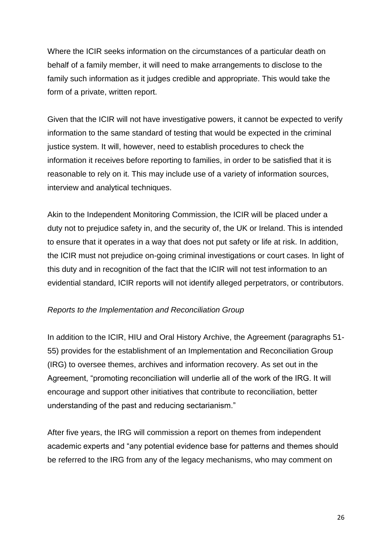Where the ICIR seeks information on the circumstances of a particular death on behalf of a family member, it will need to make arrangements to disclose to the family such information as it judges credible and appropriate. This would take the form of a private, written report.

Given that the ICIR will not have investigative powers, it cannot be expected to verify information to the same standard of testing that would be expected in the criminal justice system. It will, however, need to establish procedures to check the information it receives before reporting to families, in order to be satisfied that it is reasonable to rely on it. This may include use of a variety of information sources, interview and analytical techniques.

Akin to the Independent Monitoring Commission, the ICIR will be placed under a duty not to prejudice safety in, and the security of, the UK or Ireland. This is intended to ensure that it operates in a way that does not put safety or life at risk. In addition, the ICIR must not prejudice on-going criminal investigations or court cases. In light of this duty and in recognition of the fact that the ICIR will not test information to an evidential standard, ICIR reports will not identify alleged perpetrators, or contributors.

#### *Reports to the Implementation and Reconciliation Group*

In addition to the ICIR, HIU and Oral History Archive, the Agreement (paragraphs 51- 55) provides for the establishment of an Implementation and Reconciliation Group (IRG) to oversee themes, archives and information recovery. As set out in the Agreement, "promoting reconciliation will underlie all of the work of the IRG. It will encourage and support other initiatives that contribute to reconciliation, better understanding of the past and reducing sectarianism."

After five years, the IRG will commission a report on themes from independent academic experts and "any potential evidence base for patterns and themes should be referred to the IRG from any of the legacy mechanisms, who may comment on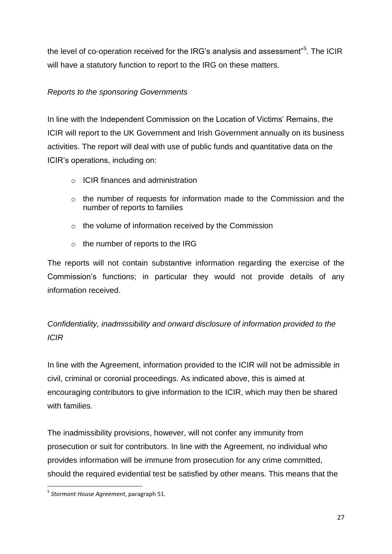the level of co-operation received for the IRG's analysis and assessment" $5$ . The ICIR will have a statutory function to report to the IRG on these matters.

#### *Reports to the sponsoring Governments*

In line with the Independent Commission on the Location of Victims' Remains, the ICIR will report to the UK Government and Irish Government annually on its business activities. The report will deal with use of public funds and quantitative data on the ICIR's operations, including on:

- o ICIR finances and administration
- o the number of requests for information made to the Commission and the number of reports to families
- o the volume of information received by the Commission
- $\circ$  the number of reports to the IRG

The reports will not contain substantive information regarding the exercise of the Commission's functions; in particular they would not provide details of any information received.

### *Confidentiality, inadmissibility and onward disclosure of information provided to the ICIR*

In line with the Agreement, information provided to the ICIR will not be admissible in civil, criminal or coronial proceedings. As indicated above, this is aimed at encouraging contributors to give information to the ICIR, which may then be shared with families.

The inadmissibility provisions, however, will not confer any immunity from prosecution or suit for contributors. In line with the Agreement, no individual who provides information will be immune from prosecution for any crime committed, should the required evidential test be satisfied by other means. This means that the

**.** 

<sup>5</sup> *Stormont House Agreement*, paragraph 51.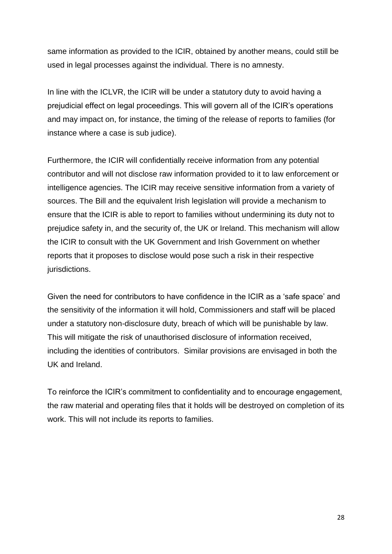same information as provided to the ICIR, obtained by another means, could still be used in legal processes against the individual. There is no amnesty.

In line with the ICLVR, the ICIR will be under a statutory duty to avoid having a prejudicial effect on legal proceedings. This will govern all of the ICIR's operations and may impact on, for instance, the timing of the release of reports to families (for instance where a case is sub judice).

Furthermore, the ICIR will confidentially receive information from any potential contributor and will not disclose raw information provided to it to law enforcement or intelligence agencies. The ICIR may receive sensitive information from a variety of sources. The Bill and the equivalent Irish legislation will provide a mechanism to ensure that the ICIR is able to report to families without undermining its duty not to prejudice safety in, and the security of, the UK or Ireland. This mechanism will allow the ICIR to consult with the UK Government and Irish Government on whether reports that it proposes to disclose would pose such a risk in their respective jurisdictions.

Given the need for contributors to have confidence in the ICIR as a 'safe space' and the sensitivity of the information it will hold, Commissioners and staff will be placed under a statutory non-disclosure duty, breach of which will be punishable by law. This will mitigate the risk of unauthorised disclosure of information received, including the identities of contributors. Similar provisions are envisaged in both the UK and Ireland.

To reinforce the ICIR's commitment to confidentiality and to encourage engagement, the raw material and operating files that it holds will be destroyed on completion of its work. This will not include its reports to families.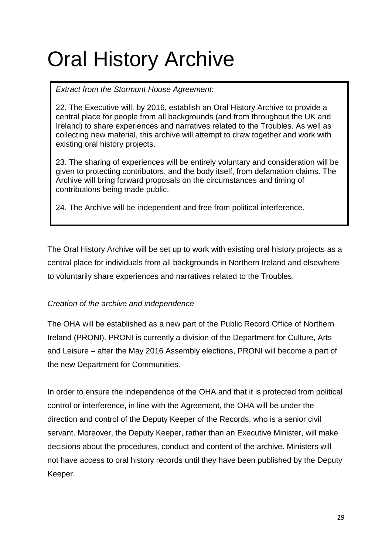### Oral History Archive

*Extract from the Stormont House Agreement:*

22. The Executive will, by 2016, establish an Oral History Archive to provide a central place for people from all backgrounds (and from throughout the UK and Ireland) to share experiences and narratives related to the Troubles. As well as collecting new material, this archive will attempt to draw together and work with existing oral history projects.

23. The sharing of experiences will be entirely voluntary and consideration will be given to protecting contributors, and the body itself, from defamation claims. The Archive will bring forward proposals on the circumstances and timing of contributions being made public.

24. The Archive will be independent and free from political interference.

The Oral History Archive will be set up to work with existing oral history projects as a central place for individuals from all backgrounds in Northern Ireland and elsewhere to voluntarily share experiences and narratives related to the Troubles.

#### *Creation of the archive and independence*

The OHA will be established as a new part of the Public Record Office of Northern Ireland (PRONI). PRONI is currently a division of the Department for Culture, Arts and Leisure – after the May 2016 Assembly elections, PRONI will become a part of the new Department for Communities.

In order to ensure the independence of the OHA and that it is protected from political control or interference, in line with the Agreement, the OHA will be under the direction and control of the Deputy Keeper of the Records, who is a senior civil servant. Moreover, the Deputy Keeper, rather than an Executive Minister, will make decisions about the procedures, conduct and content of the archive. Ministers will not have access to oral history records until they have been published by the Deputy Keeper.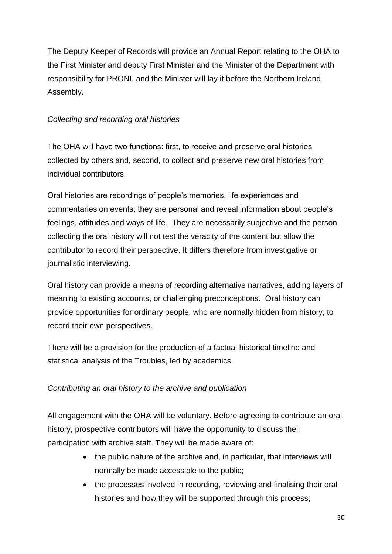The Deputy Keeper of Records will provide an Annual Report relating to the OHA to the First Minister and deputy First Minister and the Minister of the Department with responsibility for PRONI, and the Minister will lay it before the Northern Ireland Assembly.

#### *Collecting and recording oral histories*

The OHA will have two functions: first, to receive and preserve oral histories collected by others and, second, to collect and preserve new oral histories from individual contributors.

Oral histories are recordings of people's memories, life experiences and commentaries on events; they are personal and reveal information about people's feelings, attitudes and ways of life. They are necessarily subjective and the person collecting the oral history will not test the veracity of the content but allow the contributor to record their perspective. It differs therefore from investigative or journalistic interviewing.

Oral history can provide a means of recording alternative narratives, adding layers of meaning to existing accounts, or challenging preconceptions. Oral history can provide opportunities for ordinary people, who are normally hidden from history, to record their own perspectives.

There will be a provision for the production of a factual historical timeline and statistical analysis of the Troubles, led by academics.

#### *Contributing an oral history to the archive and publication*

All engagement with the OHA will be voluntary. Before agreeing to contribute an oral history, prospective contributors will have the opportunity to discuss their participation with archive staff. They will be made aware of:

- the public nature of the archive and, in particular, that interviews will normally be made accessible to the public;
- the processes involved in recording, reviewing and finalising their oral histories and how they will be supported through this process;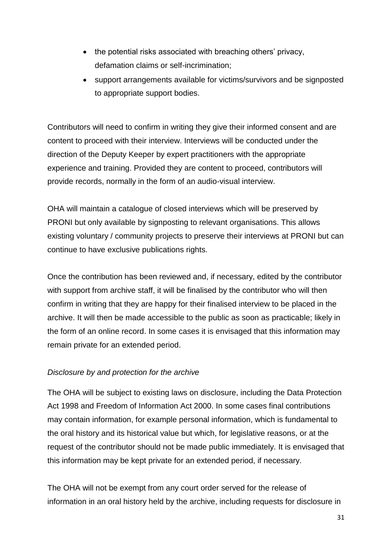- the potential risks associated with breaching others' privacy, defamation claims or self-incrimination;
- support arrangements available for victims/survivors and be signposted to appropriate support bodies.

Contributors will need to confirm in writing they give their informed consent and are content to proceed with their interview. Interviews will be conducted under the direction of the Deputy Keeper by expert practitioners with the appropriate experience and training. Provided they are content to proceed, contributors will provide records, normally in the form of an audio-visual interview.

OHA will maintain a catalogue of closed interviews which will be preserved by PRONI but only available by signposting to relevant organisations. This allows existing voluntary / community projects to preserve their interviews at PRONI but can continue to have exclusive publications rights.

Once the contribution has been reviewed and, if necessary, edited by the contributor with support from archive staff, it will be finalised by the contributor who will then confirm in writing that they are happy for their finalised interview to be placed in the archive. It will then be made accessible to the public as soon as practicable; likely in the form of an online record. In some cases it is envisaged that this information may remain private for an extended period.

#### *Disclosure by and protection for the archive*

The OHA will be subject to existing laws on disclosure, including the Data Protection Act 1998 and Freedom of Information Act 2000. In some cases final contributions may contain information, for example personal information, which is fundamental to the oral history and its historical value but which, for legislative reasons, or at the request of the contributor should not be made public immediately. It is envisaged that this information may be kept private for an extended period, if necessary.

The OHA will not be exempt from any court order served for the release of information in an oral history held by the archive, including requests for disclosure in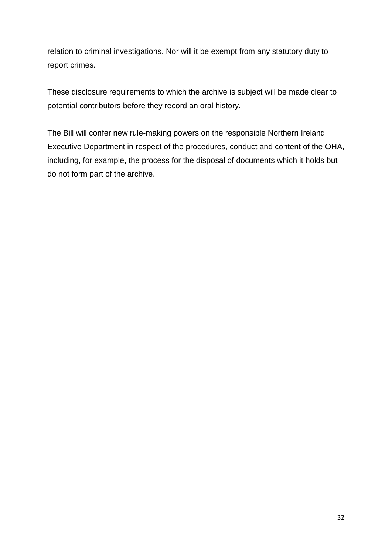relation to criminal investigations. Nor will it be exempt from any statutory duty to report crimes.

These disclosure requirements to which the archive is subject will be made clear to potential contributors before they record an oral history.

The Bill will confer new rule-making powers on the responsible Northern Ireland Executive Department in respect of the procedures, conduct and content of the OHA, including, for example, the process for the disposal of documents which it holds but do not form part of the archive.